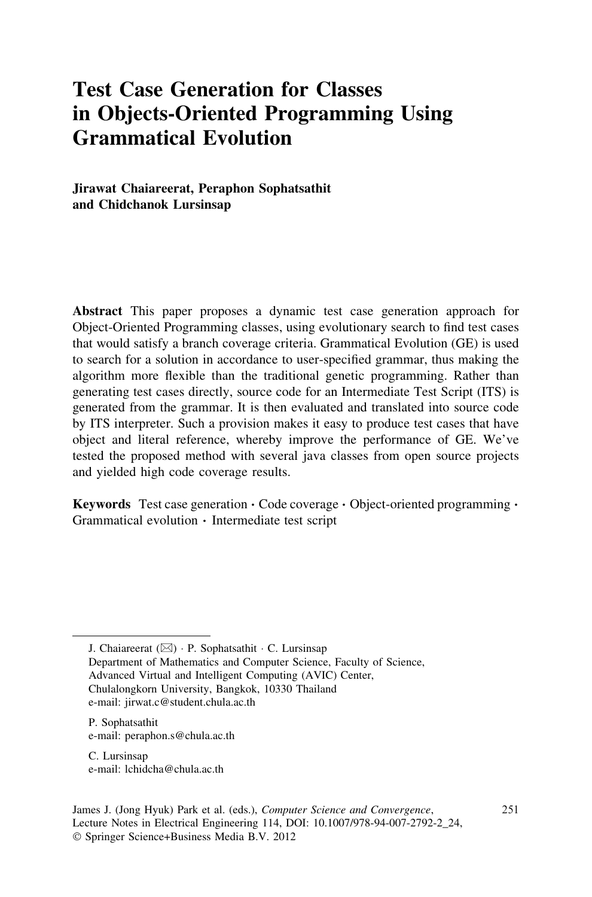# Test Case Generation for Classes in Objects-Oriented Programming Using Grammatical Evolution

Jirawat Chaiareerat, Peraphon Sophatsathit and Chidchanok Lursinsap

Abstract This paper proposes a dynamic test case generation approach for Object-Oriented Programming classes, using evolutionary search to find test cases that would satisfy a branch coverage criteria. Grammatical Evolution (GE) is used to search for a solution in accordance to user-specified grammar, thus making the algorithm more flexible than the traditional genetic programming. Rather than generating test cases directly, source code for an Intermediate Test Script (ITS) is generated from the grammar. It is then evaluated and translated into source code by ITS interpreter. Such a provision makes it easy to produce test cases that have object and literal reference, whereby improve the performance of GE. We've tested the proposed method with several java classes from open source projects and yielded high code coverage results.

Keywords Test case generation  $\cdot$  Code coverage  $\cdot$  Object-oriented programming  $\cdot$ Grammatical evolution - Intermediate test script

J. Chaiareerat (&) - P. Sophatsathit - C. Lursinsap Department of Mathematics and Computer Science, Faculty of Science, Advanced Virtual and Intelligent Computing (AVIC) Center, Chulalongkorn University, Bangkok, 10330 Thailand e-mail: jirwat.c@student.chula.ac.th

P. Sophatsathit e-mail: peraphon.s@chula.ac.th

C. Lursinsap e-mail: lchidcha@chula.ac.th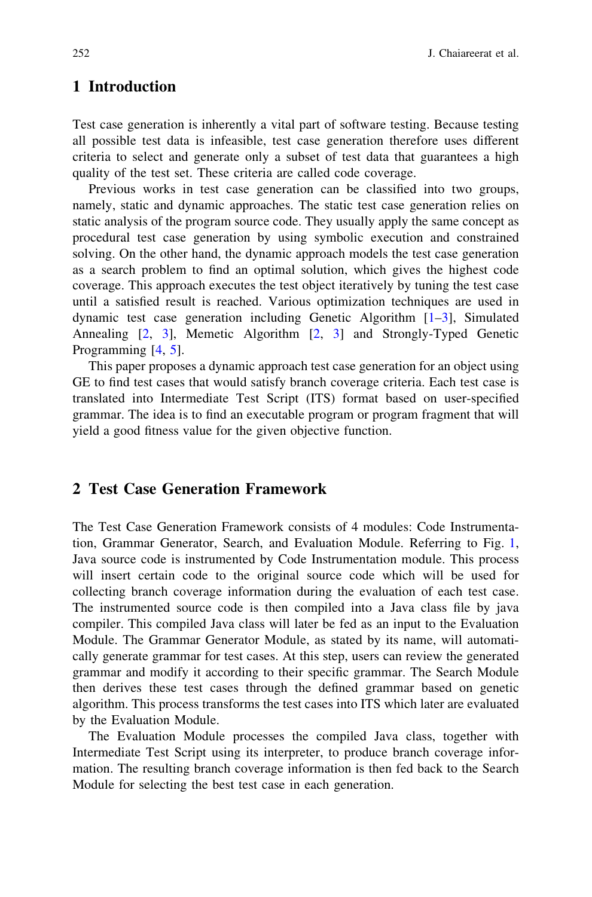#### 1 Introduction

Test case generation is inherently a vital part of software testing. Because testing all possible test data is infeasible, test case generation therefore uses different criteria to select and generate only a subset of test data that guarantees a high quality of the test set. These criteria are called code coverage.

Previous works in test case generation can be classified into two groups, namely, static and dynamic approaches. The static test case generation relies on static analysis of the program source code. They usually apply the same concept as procedural test case generation by using symbolic execution and constrained solving. On the other hand, the dynamic approach models the test case generation as a search problem to find an optimal solution, which gives the highest code coverage. This approach executes the test object iteratively by tuning the test case until a satisfied result is reached. Various optimization techniques are used in dynamic test case generation including Genetic Algorithm [1–3], Simulated Annealing [2, 3], Memetic Algorithm [2, 3] and Strongly-Typed Genetic Programming [4, 5].

This paper proposes a dynamic approach test case generation for an object using GE to find test cases that would satisfy branch coverage criteria. Each test case is translated into Intermediate Test Script (ITS) format based on user-specified grammar. The idea is to find an executable program or program fragment that will yield a good fitness value for the given objective function.

#### 2 Test Case Generation Framework

The Test Case Generation Framework consists of 4 modules: Code Instrumentation, Grammar Generator, Search, and Evaluation Module. Referring to Fig. 1, Java source code is instrumented by Code Instrumentation module. This process will insert certain code to the original source code which will be used for collecting branch coverage information during the evaluation of each test case. The instrumented source code is then compiled into a Java class file by java compiler. This compiled Java class will later be fed as an input to the Evaluation Module. The Grammar Generator Module, as stated by its name, will automatically generate grammar for test cases. At this step, users can review the generated grammar and modify it according to their specific grammar. The Search Module then derives these test cases through the defined grammar based on genetic algorithm. This process transforms the test cases into ITS which later are evaluated by the Evaluation Module.

The Evaluation Module processes the compiled Java class, together with Intermediate Test Script using its interpreter, to produce branch coverage information. The resulting branch coverage information is then fed back to the Search Module for selecting the best test case in each generation.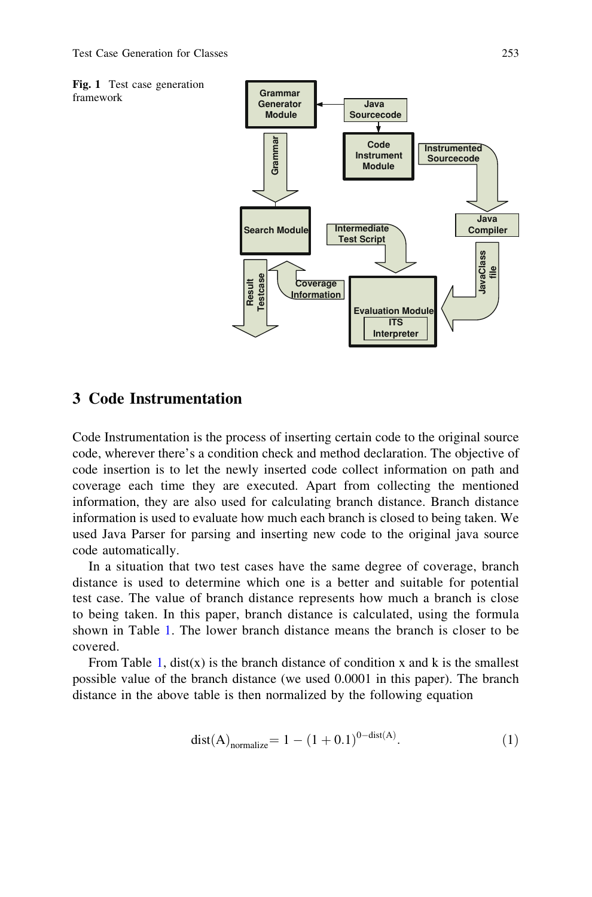



#### 3 Code Instrumentation

Code Instrumentation is the process of inserting certain code to the original source code, wherever there's a condition check and method declaration. The objective of code insertion is to let the newly inserted code collect information on path and coverage each time they are executed. Apart from collecting the mentioned information, they are also used for calculating branch distance. Branch distance information is used to evaluate how much each branch is closed to being taken. We used Java Parser for parsing and inserting new code to the original java source code automatically.

In a situation that two test cases have the same degree of coverage, branch distance is used to determine which one is a better and suitable for potential test case. The value of branch distance represents how much a branch is close to being taken. In this paper, branch distance is calculated, using the formula shown in Table 1. The lower branch distance means the branch is closer to be covered.

From Table 1, dist(x) is the branch distance of condition x and k is the smallest possible value of the branch distance (we used 0.0001 in this paper). The branch distance in the above table is then normalized by the following equation

$$
dist(A)_{normalized} = 1 - (1 + 0.1)^{0 - dist(A)}.
$$
 (1)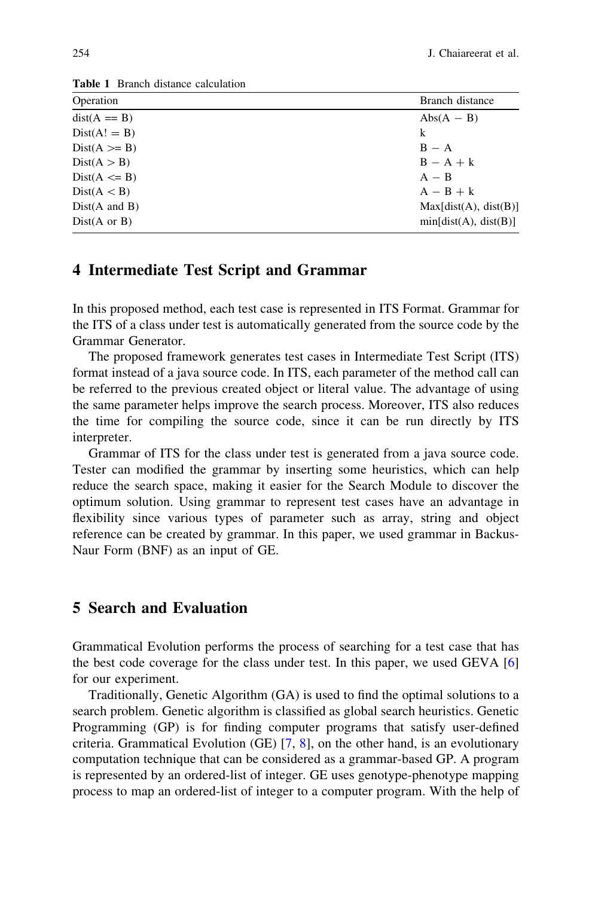| Operation                | Branch distance       |
|--------------------------|-----------------------|
| $dist(A == B)$           | $Abs(A - B)$          |
| $Dist(A! = B)$           | k                     |
| $Dist(A \geq B)$         | $B - A$               |
| Dist(A > B)              | $B - A + k$           |
| $Dist(A \leq B)$         | $A - B$               |
| Dist(A < B)              | $A - B + k$           |
| $Dist(A \text{ and } B)$ | Max[dist(A), dist(B)] |
| $Dist(A \text{ or } B)$  | min[dist(A), dist(B)] |

Table 1 Branch distance calculation

### 4 Intermediate Test Script and Grammar

In this proposed method, each test case is represented in ITS Format. Grammar for the ITS of a class under test is automatically generated from the source code by the Grammar Generator.

The proposed framework generates test cases in Intermediate Test Script (ITS) format instead of a java source code. In ITS, each parameter of the method call can be referred to the previous created object or literal value. The advantage of using the same parameter helps improve the search process. Moreover, ITS also reduces the time for compiling the source code, since it can be run directly by ITS interpreter.

Grammar of ITS for the class under test is generated from a java source code. Tester can modified the grammar by inserting some heuristics, which can help reduce the search space, making it easier for the Search Module to discover the optimum solution. Using grammar to represent test cases have an advantage in flexibility since various types of parameter such as array, string and object reference can be created by grammar. In this paper, we used grammar in Backus-Naur Form (BNF) as an input of GE.

#### 5 Search and Evaluation

Grammatical Evolution performs the process of searching for a test case that has the best code coverage for the class under test. In this paper, we used GEVA [6] for our experiment.

Traditionally, Genetic Algorithm (GA) is used to find the optimal solutions to a search problem. Genetic algorithm is classified as global search heuristics. Genetic Programming (GP) is for finding computer programs that satisfy user-defined criteria. Grammatical Evolution (GE)  $[7, 8]$ , on the other hand, is an evolutionary computation technique that can be considered as a grammar-based GP. A program is represented by an ordered-list of integer. GE uses genotype-phenotype mapping process to map an ordered-list of integer to a computer program. With the help of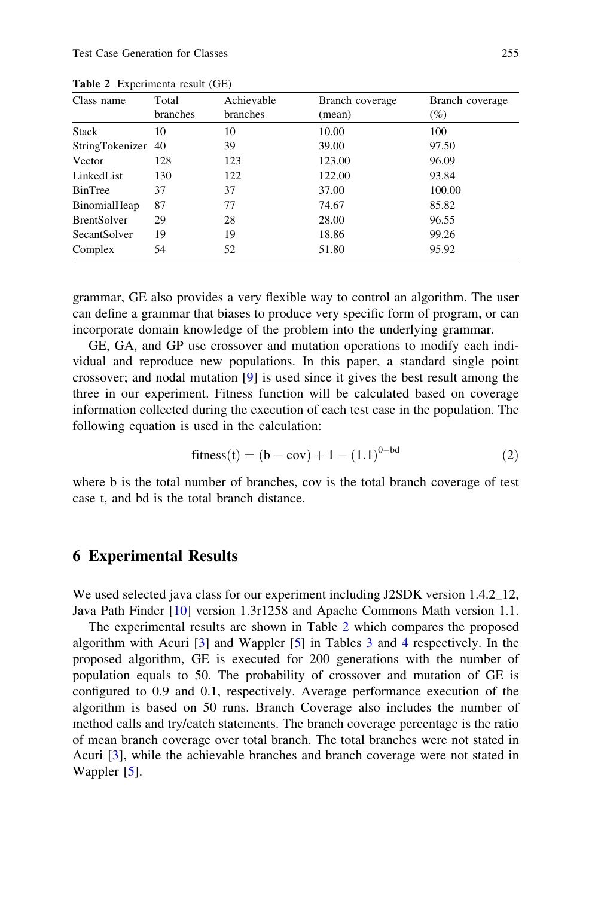| Class name         | Total<br>branches | Achievable<br>branches | Branch coverage<br>(mean) | Branch coverage<br>$(\%)$ |
|--------------------|-------------------|------------------------|---------------------------|---------------------------|
| <b>Stack</b>       | 10                | 10                     | 10.00                     | 100                       |
| StringTokenizer 40 |                   | 39                     | 39.00                     | 97.50                     |
| Vector             | 128               | 123                    | 123.00                    | 96.09                     |
| LinkedList         | 130               | 122                    | 122.00                    | 93.84                     |
| <b>BinTree</b>     | 37                | 37                     | 37.00                     | 100.00                    |
| BinomialHeap       | 87                | 77                     | 74.67                     | 85.82                     |
| <b>BrentSolver</b> | 29                | 28                     | 28.00                     | 96.55                     |
| SecantSolver       | 19                | 19                     | 18.86                     | 99.26                     |
| Complex            | 54                | 52                     | 51.80                     | 95.92                     |

Table 2 Experimenta result (GE)

grammar, GE also provides a very flexible way to control an algorithm. The user can define a grammar that biases to produce very specific form of program, or can incorporate domain knowledge of the problem into the underlying grammar.

GE, GA, and GP use crossover and mutation operations to modify each individual and reproduce new populations. In this paper, a standard single point crossover; and nodal mutation [9] is used since it gives the best result among the three in our experiment. Fitness function will be calculated based on coverage information collected during the execution of each test case in the population. The following equation is used in the calculation:

$$
fitness(t) = (b - cov) + 1 - (1.1)^{0 - bd}
$$
 (2)

where b is the total number of branches, cov is the total branch coverage of test case t, and bd is the total branch distance.

#### 6 Experimental Results

We used selected java class for our experiment including J2SDK version  $1.4.2\_12$ , Java Path Finder [10] version 1.3r1258 and Apache Commons Math version 1.1.

The experimental results are shown in Table 2 which compares the proposed algorithm with Acuri [3] and Wappler [5] in Tables 3 and 4 respectively. In the proposed algorithm, GE is executed for 200 generations with the number of population equals to 50. The probability of crossover and mutation of GE is configured to 0.9 and 0.1, respectively. Average performance execution of the algorithm is based on 50 runs. Branch Coverage also includes the number of method calls and try/catch statements. The branch coverage percentage is the ratio of mean branch coverage over total branch. The total branches were not stated in Acuri [3], while the achievable branches and branch coverage were not stated in Wappler [5].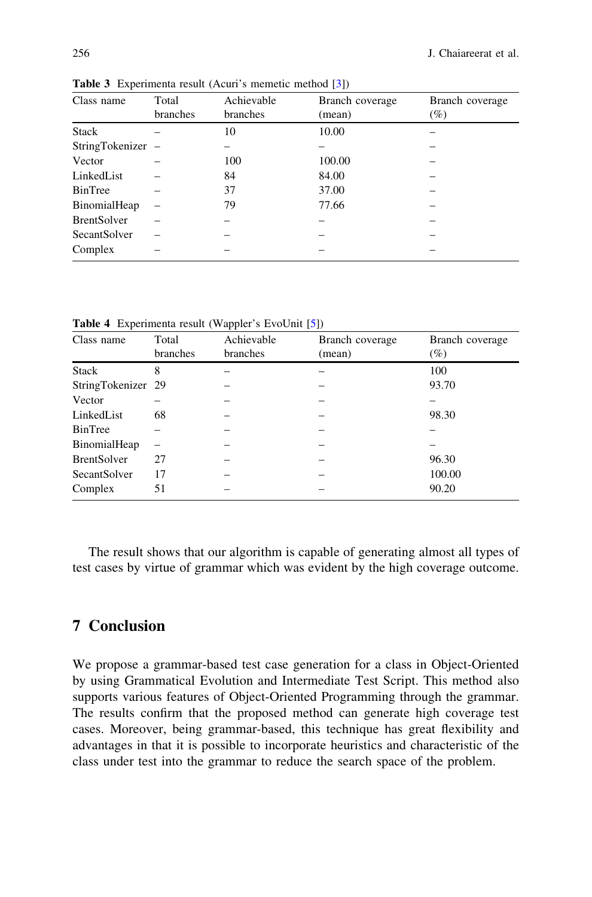| л.                 |                   |                        |                           |                           |
|--------------------|-------------------|------------------------|---------------------------|---------------------------|
| Class name         | Total<br>branches | Achievable<br>branches | Branch coverage<br>(mean) | Branch coverage<br>$(\%)$ |
| <b>Stack</b>       |                   | 10                     | 10.00                     |                           |
| StringTokenizer -  |                   |                        |                           |                           |
| Vector             |                   | 100                    | 100.00                    |                           |
| LinkedList         |                   | 84                     | 84.00                     |                           |
| BinTree            |                   | 37                     | 37.00                     |                           |
| BinomialHeap       |                   | 79                     | 77.66                     |                           |
| <b>BrentSolver</b> |                   |                        |                           |                           |
| SecantSolver       |                   |                        |                           |                           |
| Complex            |                   |                        |                           |                           |

Table 3 Experimenta result (Acuri's memetic method [3])

Table 4 Experimenta result (Wappler's EvoUnit [5])

| Class name         | Total<br>branches | Achievable<br>branches | Branch coverage<br>(mean) | Branch coverage<br>$(\%)$ |
|--------------------|-------------------|------------------------|---------------------------|---------------------------|
| <b>Stack</b>       | 8                 |                        |                           | 100                       |
| StringTokenizer 29 |                   |                        |                           | 93.70                     |
| Vector             |                   |                        |                           |                           |
| LinkedList         | 68                |                        |                           | 98.30                     |
| BinTree            |                   |                        |                           |                           |
| BinomialHeap       |                   |                        |                           |                           |
| <b>BrentSolver</b> | 27                |                        |                           | 96.30                     |
| SecantSolver       | 17                |                        |                           | 100.00                    |
| Complex            | 51                |                        |                           | 90.20                     |

The result shows that our algorithm is capable of generating almost all types of test cases by virtue of grammar which was evident by the high coverage outcome.

## 7 Conclusion

We propose a grammar-based test case generation for a class in Object-Oriented by using Grammatical Evolution and Intermediate Test Script. This method also supports various features of Object-Oriented Programming through the grammar. The results confirm that the proposed method can generate high coverage test cases. Moreover, being grammar-based, this technique has great flexibility and advantages in that it is possible to incorporate heuristics and characteristic of the class under test into the grammar to reduce the search space of the problem.